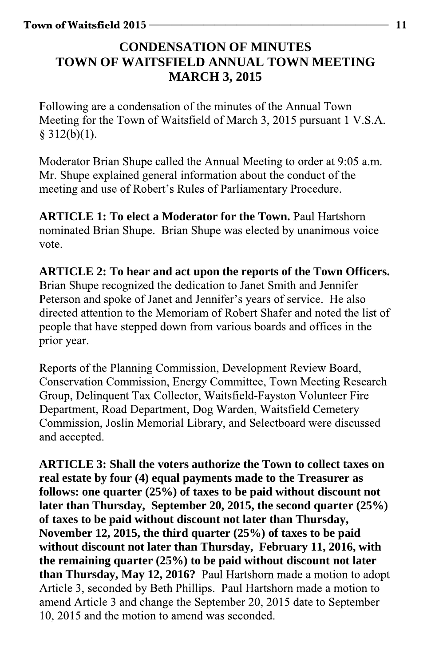## **CONDENSATION OF MINUTES TOWN OF WAITSFIELD ANNUAL TOWN MEETING MARCH 3, 2015**

Following are a condensation of the minutes of the Annual Town Meeting for the Town of Waitsfield of March 3, 2015 pursuant 1 V.S.A. §  $312(b)(1)$ .

Moderator Brian Shupe called the Annual Meeting to order at 9:05 a.m. Mr. Shupe explained general information about the conduct of the meeting and use of Robert's Rules of Parliamentary Procedure.

**ARTICLE 1: To elect a Moderator for the Town.** nominated Brian Shupe. Brian Shupe was elected by unanimous voice vote.

**ARTICLE 2: To hear and act upon the reports of the Town Officers.**  Brian Shupe recognized the dedication to Janet Smith and Jennifer Peterson and spoke of Janet and Jennifer's years of service. He also directed attention to the Memoriam of Robert Shafer and noted the list of people that have stepped down from various boards and offices in the prior year.

Reports of the Planning Commission, Development Review Board, Conservation Commission, Energy Committee, Town Meeting Research Group, Delinquent Tax Collector, Waitsfield-Fayston Volunteer Fire Department, Road Department, Dog Warden, Waitsfield Cemetery Commission, Joslin Memorial Library, and Selectboard were discussed and accepted.

**ARTICLE 3: Shall the voters authorize the Town to collect taxes on real estate by four (4) equal payments made to the Treasurer as follows: one quarter (25%) of taxes to be paid without discount not later than Thursday, September 20, 2015, the second quarter (25%) of taxes to be paid without discount not later than Thursday, November 12, 2015, the third quarter (25%) of taxes to be paid without discount not later than Thursday, February 11, 2016, with the remaining quarter (25%) to be paid without discount not later than Thursday, May 12, 2016?** Article 3, seconded by Beth Phillips. Paul Hartshorn made a motion to amend Article 3 and change the September 20, 2015 date to September 10, 2015 and the motion to amend was seconded.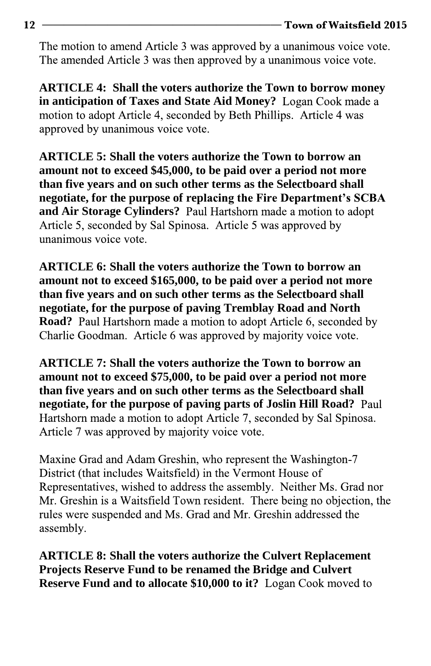The motion to amend Article 3 was approved by a unanimous voice vote. The amended Article 3 was then approved by a unanimous voice vote.

**ARTICLE 4: Shall the voters authorize the Town to borrow money in anticipation of Taxes and State Aid Money?** motion to adopt Article 4, seconded by Beth Phillips. Article 4 was approved by unanimous voice vote.

**ARTICLE 5: Shall the voters authorize the Town to borrow an amount not to exceed \$45,000, to be paid over a period not more than five years and on such other terms as the Selectboard shall negotiate, for the purpose of rep** and Air Storage Cylinders? Paul Hartshorn made a motion to adopt Article 5, seconded by Sal Spinosa. Article 5 was approved by unanimous voice vote.

**ARTICLE 6: Shall the voters authorize the Town to borrow an amount not to exceed \$165,000, to be paid over a period not more than five years and on such other terms as the Selectboard shall negotiate, for the purpose of paving Tremblay Road and North Road?** Paul Hartshorn made a motion to adopt Article 6, seconded by Charlie Goodman. Article 6 was approved by majority voice vote.

**ARTICLE 7: Shall the voters authorize the Town to borrow an amount not to exceed \$75,000, to be paid over a period not more than five years and on such other terms as the Selectboard shall negotiate, for the purpose of paving parts of Joslin Hill Road?** Hartshorn made a motion to adopt Article 7, seconded by Sal Spinosa. Article 7 was approved by majority voice vote.

Maxine Grad and Adam Greshin, who represent the Washington-7 District (that includes Waitsfield) in the Vermont House of Representatives, wished to address the assembly. Neither Ms. Grad nor Mr. Greshin is a Waitsfield Town resident. There being no objection, the rules were suspended and Ms. Grad and Mr. Greshin addressed the assembly.

**ARTICLE 8: Shall the voters authorize the Culvert Replacement Projects Reserve Fund to be renamed the Bridge and Culvert Reserve Fund and to allocate \$10,000 to it?** Logan Cook moved to